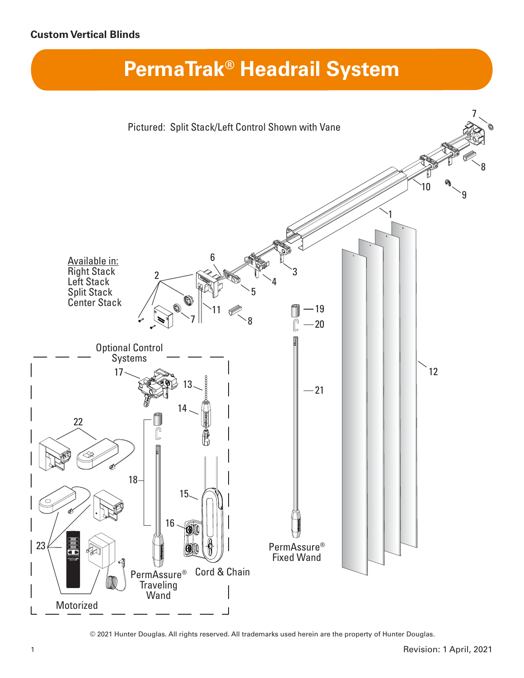## **Custom Vertical Blinds**

## **PermaTrak® Headrail System**



© 2021 Hunter Douglas. All rights reserved. All trademarks used herein are the property of Hunter Douglas.